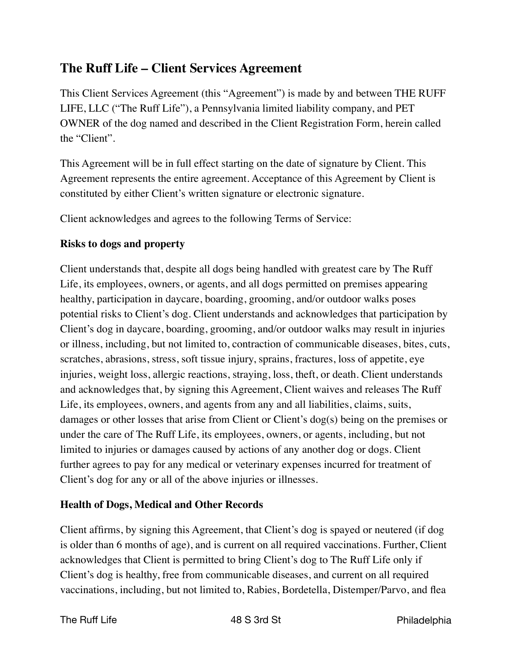# **The Ruff Life – Client Services Agreement**

This Client Services Agreement (this "Agreement") is made by and between THE RUFF LIFE, LLC ("The Ruff Life"), a Pennsylvania limited liability company, and PET OWNER of the dog named and described in the Client Registration Form, herein called the "Client".

This Agreement will be in full effect starting on the date of signature by Client. This Agreement represents the entire agreement. Acceptance of this Agreement by Client is constituted by either Client's written signature or electronic signature.

Client acknowledges and agrees to the following Terms of Service:

### **Risks to dogs and property**

Client understands that, despite all dogs being handled with greatest care by The Ruff Life, its employees, owners, or agents, and all dogs permitted on premises appearing healthy, participation in daycare, boarding, grooming, and/or outdoor walks poses potential risks to Client's dog. Client understands and acknowledges that participation by Client's dog in daycare, boarding, grooming, and/or outdoor walks may result in injuries or illness, including, but not limited to, contraction of communicable diseases, bites, cuts, scratches, abrasions, stress, soft tissue injury, sprains, fractures, loss of appetite, eye injuries, weight loss, allergic reactions, straying, loss, theft, or death. Client understands and acknowledges that, by signing this Agreement, Client waives and releases The Ruff Life, its employees, owners, and agents from any and all liabilities, claims, suits, damages or other losses that arise from Client or Client's dog(s) being on the premises or under the care of The Ruff Life, its employees, owners, or agents, including, but not limited to injuries or damages caused by actions of any another dog or dogs. Client further agrees to pay for any medical or veterinary expenses incurred for treatment of Client's dog for any or all of the above injuries or illnesses.

## **Health of Dogs, Medical and Other Records**

Client affirms, by signing this Agreement, that Client's dog is spayed or neutered (if dog is older than 6 months of age), and is current on all required vaccinations. Further, Client acknowledges that Client is permitted to bring Client's dog to The Ruff Life only if Client's dog is healthy, free from communicable diseases, and current on all required vaccinations, including, but not limited to, Rabies, Bordetella, Distemper/Parvo, and flea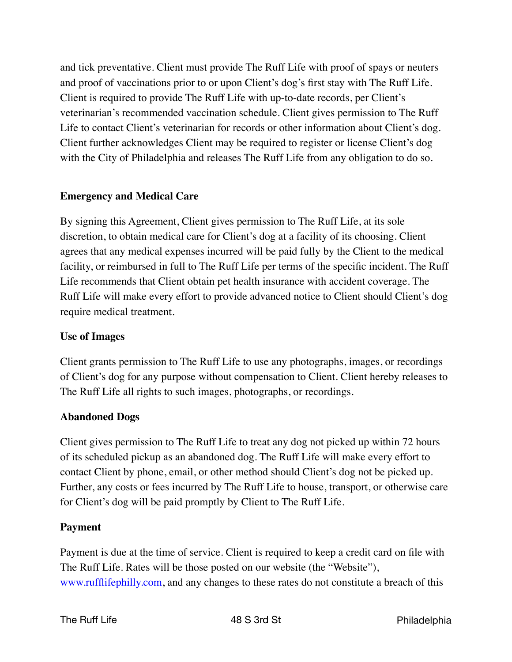and tick preventative. Client must provide The Ruff Life with proof of spays or neuters and proof of vaccinations prior to or upon Client's dog's first stay with The Ruff Life. Client is required to provide The Ruff Life with up-to-date records, per Client's veterinarian's recommended vaccination schedule. Client gives permission to The Ruff Life to contact Client's veterinarian for records or other information about Client's dog. Client further acknowledges Client may be required to register or license Client's dog with the City of Philadelphia and releases The Ruff Life from any obligation to do so.

### **Emergency and Medical Care**

By signing this Agreement, Client gives permission to The Ruff Life, at its sole discretion, to obtain medical care for Client's dog at a facility of its choosing. Client agrees that any medical expenses incurred will be paid fully by the Client to the medical facility, or reimbursed in full to The Ruff Life per terms of the specific incident. The Ruff Life recommends that Client obtain pet health insurance with accident coverage. The Ruff Life will make every effort to provide advanced notice to Client should Client's dog require medical treatment.

#### **Use of Images**

Client grants permission to The Ruff Life to use any photographs, images, or recordings of Client's dog for any purpose without compensation to Client. Client hereby releases to The Ruff Life all rights to such images, photographs, or recordings.

## **Abandoned Dogs**

Client gives permission to The Ruff Life to treat any dog not picked up within 72 hours of its scheduled pickup as an abandoned dog. The Ruff Life will make every effort to contact Client by phone, email, or other method should Client's dog not be picked up. Further, any costs or fees incurred by The Ruff Life to house, transport, or otherwise care for Client's dog will be paid promptly by Client to The Ruff Life.

## **Payment**

Payment is due at the time of service. Client is required to keep a credit card on file with The Ruff Life. Rates will be those posted on our website (the "Website"), www.rufflifephilly.com, and any changes to these rates do not constitute a breach of this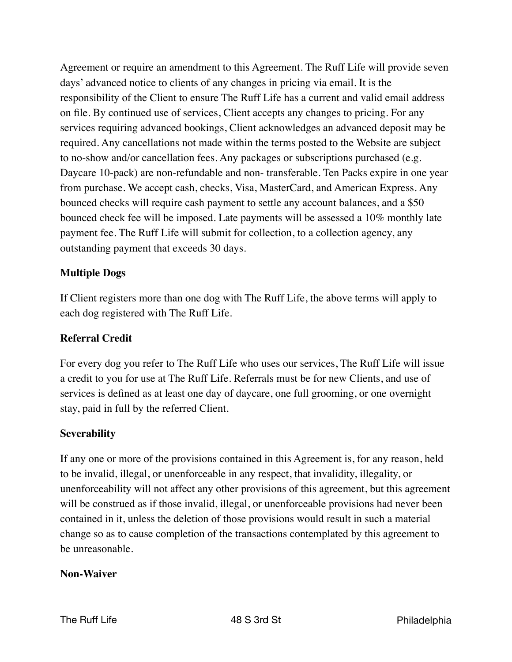Agreement or require an amendment to this Agreement. The Ruff Life will provide seven days' advanced notice to clients of any changes in pricing via email. It is the responsibility of the Client to ensure The Ruff Life has a current and valid email address on file. By continued use of services, Client accepts any changes to pricing. For any services requiring advanced bookings, Client acknowledges an advanced deposit may be required. Any cancellations not made within the terms posted to the Website are subject to no-show and/or cancellation fees. Any packages or subscriptions purchased (e.g. Daycare 10-pack) are non-refundable and non- transferable. Ten Packs expire in one year from purchase. We accept cash, checks, Visa, MasterCard, and American Express. Any bounced checks will require cash payment to settle any account balances, and a \$50 bounced check fee will be imposed. Late payments will be assessed a 10% monthly late payment fee. The Ruff Life will submit for collection, to a collection agency, any outstanding payment that exceeds 30 days.

### **Multiple Dogs**

If Client registers more than one dog with The Ruff Life, the above terms will apply to each dog registered with The Ruff Life.

#### **Referral Credit**

For every dog you refer to The Ruff Life who uses our services, The Ruff Life will issue a credit to you for use at The Ruff Life. Referrals must be for new Clients, and use of services is defined as at least one day of daycare, one full grooming, or one overnight stay, paid in full by the referred Client.

#### **Severability**

If any one or more of the provisions contained in this Agreement is, for any reason, held to be invalid, illegal, or unenforceable in any respect, that invalidity, illegality, or unenforceability will not affect any other provisions of this agreement, but this agreement will be construed as if those invalid, illegal, or unenforceable provisions had never been contained in it, unless the deletion of those provisions would result in such a material change so as to cause completion of the transactions contemplated by this agreement to be unreasonable.

#### **Non-Waiver**